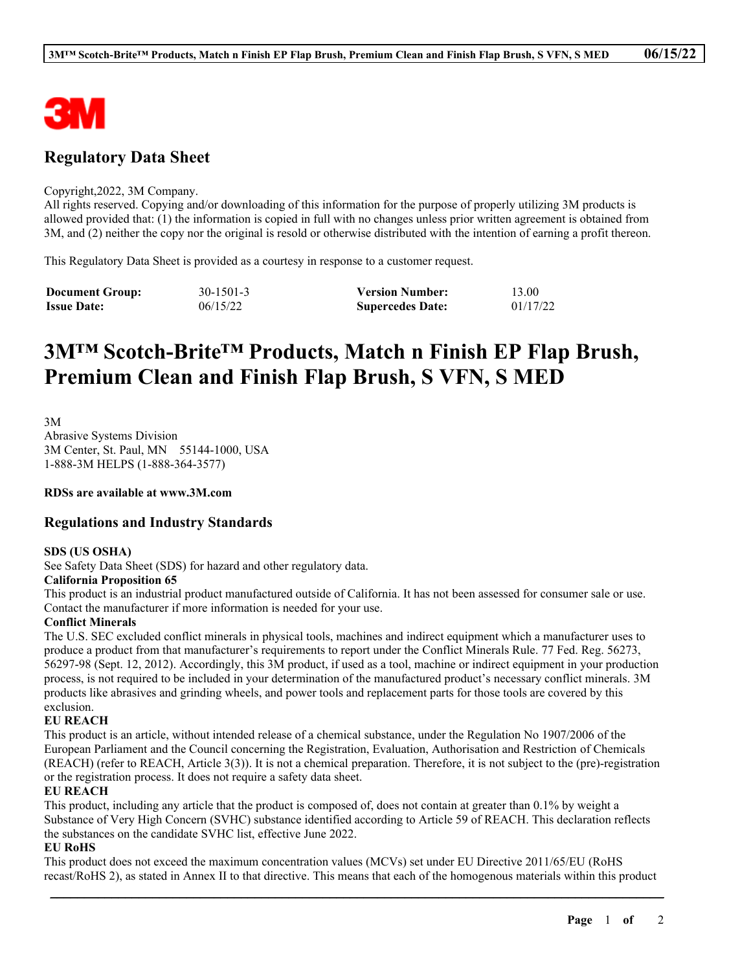

# **Regulatory Data Sheet**

#### Copyright,2022, 3M Company.

All rights reserved. Copying and/or downloading of this information for the purpose of properly utilizing 3M products is allowed provided that: (1) the information is copied in full with no changes unless prior written agreement is obtained from 3M, and (2) neither the copy nor the original is resold or otherwise distributed with the intention of earning a profit thereon.

This Regulatory Data Sheet is provided as a courtesy in response to a customer request.

| <b>Document Group:</b> | $30 - 1501 - 3$ | <b>Version Number:</b>  | 13.00    |
|------------------------|-----------------|-------------------------|----------|
| <b>Issue Date:</b>     | 06/15/22        | <b>Supercedes Date:</b> | 01/17/22 |

# **3M™ Scotch-Brite™ Products, Match n Finish EP Flap Brush, Premium Clean and Finish Flap Brush, S VFN, S MED**

3M Abrasive Systems Division 3M Center, St. Paul, MN 55144-1000, USA 1-888-3M HELPS (1-888-364-3577)

**RDSs are available at www.3M.com**

### **Regulations and Industry Standards**

#### **SDS (US OSHA)**

See Safety Data Sheet (SDS) for hazard and other regulatory data.

#### **California Proposition 65**

This product is an industrial product manufactured outside of California. It has not been assessed for consumer sale or use. Contact the manufacturer if more information is needed for your use.

#### **Conflict Minerals**

The U.S. SEC excluded conflict minerals in physical tools, machines and indirect equipment which a manufacturer uses to produce a product from that manufacturer's requirements to report under the Conflict Minerals Rule. 77 Fed. Reg. 56273, 56297-98 (Sept. 12, 2012). Accordingly, this 3M product, if used as a tool, machine or indirect equipment in your production process, is not required to be included in your determination of the manufactured product's necessary conflict minerals. 3M products like abrasives and grinding wheels, and power tools and replacement parts for those tools are covered by this exclusion.

#### **EU REACH**

This product is an article, without intended release of a chemical substance, under the Regulation No 1907/2006 of the European Parliament and the Council concerning the Registration, Evaluation, Authorisation and Restriction of Chemicals (REACH) (refer to REACH, Article 3(3)). It is not a chemical preparation. Therefore, it is not subject to the (pre)-registration or the registration process. It does not require a safety data sheet.

#### **EU REACH**

This product, including any article that the product is composed of, does not contain at greater than 0.1% by weight a Substance of Very High Concern (SVHC) substance identified according to Article 59 of REACH. This declaration reflects the substances on the candidate SVHC list, effective June 2022.

#### **EU RoHS**

This product does not exceed the maximum concentration values (MCVs) set under EU Directive 2011/65/EU (RoHS recast/RoHS 2), as stated in Annex II to that directive. This means that each of the homogenous materials within this product

\_\_\_\_\_\_\_\_\_\_\_\_\_\_\_\_\_\_\_\_\_\_\_\_\_\_\_\_\_\_\_\_\_\_\_\_\_\_\_\_\_\_\_\_\_\_\_\_\_\_\_\_\_\_\_\_\_\_\_\_\_\_\_\_\_\_\_\_\_\_\_\_\_\_\_\_\_\_\_\_\_\_\_\_\_\_\_\_\_\_